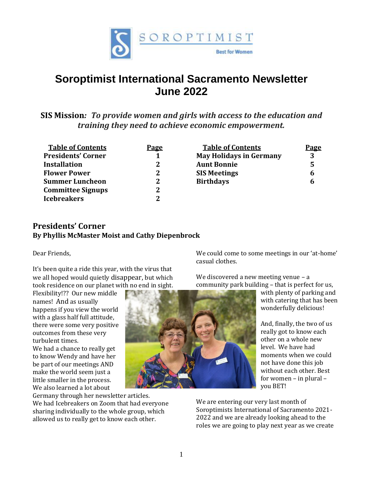

# **Soroptimist International Sacramento Newsletter June 2022**

**SIS Mission***: To provide women and girls with access to the education and training they need to achieve economic empowerment.*

| <b>Table of Contents</b>  | <b>Page</b> | <b>Table of Contents</b>       | <b>Page</b> |
|---------------------------|-------------|--------------------------------|-------------|
| <b>Presidents' Corner</b> | 1           | <b>May Holidays in Germany</b> | 3           |
| <b>Installation</b>       | 2           | <b>Aunt Bonnie</b>             | 5           |
| <b>Flower Power</b>       | 2           | <b>SIS Meetings</b>            | 6           |
| <b>Summer Luncheon</b>    | 2           | <b>Birthdays</b>               | 6           |
| <b>Committee Signups</b>  | 2           |                                |             |
| <b>Icebreakers</b>        | 2           |                                |             |
|                           |             |                                |             |

### **Presidents' Corner By Phyllis McMaster Moist and Cathy Diepenbrock**

Dear Friends,

It's been quite a ride this year, with the virus that we all hoped would quietly disappear, but which took residence on our planet with no end in sight.

Flexibility!?? Our new middle names! And as usually happens if you view the world with a glass half full attitude, there were some very positive outcomes from these very turbulent times.

We had a chance to really get to know Wendy and have her be part of our meetings AND make the world seem just a little smaller in the process. We also learned a lot about

Germany through her newsletter articles. We had Icebreakers on Zoom that had everyone sharing individually to the whole group, which allowed us to really get to know each other.

We could come to some meetings in our 'at-home' casual clothes.

We discovered a new meeting venue – a community park building – that is perfect for us,

with plenty of parking and with catering that has been wonderfully delicious!

And, finally, the two of us really got to know each other on a whole new level. We have had moments when we could not have done this job without each other. Best for women – in plural – you BET!

We are entering our very last month of Soroptimists International of Sacramento 2021- 2022 and we are already looking ahead to the roles we are going to play next year as we create

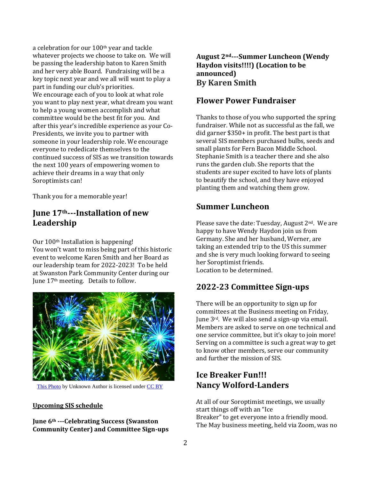a celebration for our 100th year and tackle whatever projects we choose to take on. We will be passing the leadership baton to Karen Smith and her very able Board. Fundraising will be a key topic next year and we all will want to play a part in funding our club's priorities. We encourage each of you to look at what role you want to play next year, what dream you want to help a young women accomplish and what committee would be the best fit for you. And after this year's incredible experience as your Co-Presidents, we invite you to partner with someone in your leadership role. We encourage everyone to rededicate themselves to the continued success of SIS as we transition towards the next 100 years of empowering women to achieve their dreams in a way that only Soroptimists can!

Thank you for a memorable year!

# **June 17th---Installation of new Leadership**

Our 100th Installation is happening! You won't want to miss being part of this historic event to welcome Karen Smith and her Board as our leadership team for 2022-2023! To be held at Swanston Park Community Center during our June 17th meeting. Details to follow.



[This Photo](http://flickr.com/photos/epicfireworks/8058884881) by Unknown Author is licensed unde[r CC BY](https://creativecommons.org/licenses/by/3.0/)

#### **Upcoming SIS schedule**

**June 6th ---Celebrating Success (Swanston Community Center) and Committee Sign-ups**

#### **August 2nd---Summer Luncheon (Wendy Haydon visits!!!!) (Location to be announced) By Karen Smith**

# **Flower Power Fundraiser**

Thanks to those of you who supported the spring fundraiser. While not as successful as the fall, we did garner \$350+ in profit. The best part is that several SIS members purchased bulbs, seeds and small plants for Fern Bacon Middle School. Stephanie Smith is a teacher there and she also runs the garden club. She reports that the students are super excited to have lots of plants to beautify the school, and they have enjoyed planting them and watching them grow.

### **Summer Luncheon**

Please save the date: Tuesday, August 2<sup>nd</sup>. We are happy to have Wendy Haydon join us from Germany. She and her husband, Werner, are taking an extended trip to the US this summer and she is very much looking forward to seeing her Soroptimist friends. Location to be determined.

# **2022-23 Committee Sign-ups**

There will be an opportunity to sign up for committees at the Business meeting on Friday, June 3rd. We will also send a sign-up via email. Members are asked to serve on one technical and one service committee, but it's okay to join more! Serving on a committee is such a great way to get to know other members, serve our community and further the mission of SIS.

# **Ice Breaker Fun!!! Nancy Wolford-Landers**

At all of our Soroptimist meetings, we usually start things off with an "Ice Breaker" to get everyone into a friendly mood. The May business meeting, held via Zoom, was no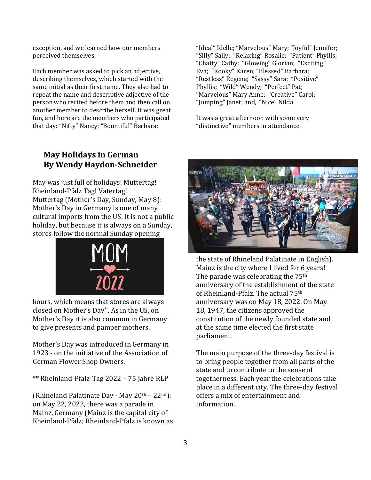exception, and we learned how our members perceived themselves.

Each member was asked to pick an adjective, describing themselves, which started with the same initial as their first name. They also had to repeat the name and descriptive adjective of the person who recited before them and then call on another member to describe herself. It was great fun, and here are the members who participated that day: "Nifty" Nancy; "Bountiful" Barbara;

"Ideal" Idelle; "Marvelous" Mary; "Joyful" Jennifer; "Silly" Sally; "Relaxing" Rosalie; "Patient" Phyllis; "Chatty" Cathy; "Glowing" Glorian; "Exciting" Eva; "Kooky" Karen; "Blessed" Barbara; "Restless" Regena; "Sassy" Sara; "Positive" Phyllis; "Wild" Wendy; "Perfect" Pat; "Marvelous" Mary Anne; "Creative" Carol; "Jumping" Janet; and, "Nice" Nilda.

It was a great afternoon with some very "distinctive" members in attendance.

### **May Holidays in German By Wendy Haydon-Schneider**

May was just full of holidays! Muttertag! Rheinland-Pfalz Tag! Vatertag! Muttertag (Mother's Day, Sunday, May 8): Mother's Day in Germany is one of many cultural imports from the US. It is not a public holiday, but because it is always on a Sunday, stores follow the normal Sunday opening



hours, which means that stores are always closed on Mother's Day''. As in the US, on Mother's Day it is also common in Germany to give presents and pamper mothers.

Mother's Day was introduced in Germany in 1923 - on the initiative of the Association of German Flower Shop Owners.

\*\* Rheinland-Pfalz-Tag 2022 – 75 Jahre RLP

(Rhineland Palatinate Day - May  $20<sup>th</sup> - 22<sup>nd</sup>$ ): on May 22, 2022, there was a parade in Mainz, Germany (Mainz is the capital city of Rheinland-Pfalz; Rheinland-Pfalz is known as



the state of Rhineland Palatinate in English). Mainz is the city where I lived for 6 years! The parade was celebrating the 75<sup>th</sup> anniversary of the establishment of the state of Rheinland-Pfalz. The actual 75th anniversary was on May 18, 2022. On May 18, 1947, the citizens approved the constitution of the newly founded state and at the same time elected the first state parliament.

The main purpose of the three-day festival is to bring people together from all parts of the state and to contribute to the sense of togetherness. Each year the celebrations take place in a different city. The three-day festival offers a mix of entertainment and information.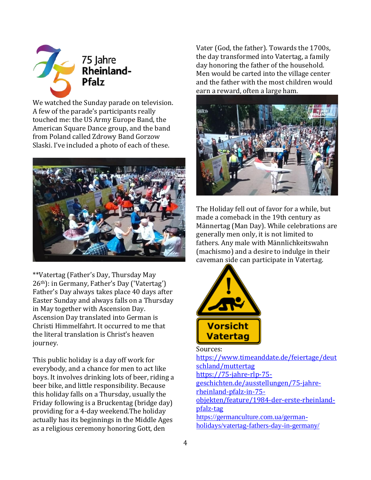

We watched the Sunday parade on television. A few of the parade's participants really touched me: the US Army Europe Band, the American Square Dance group, and the band from Poland called Zdrowy Band Gorzow Slaski. I've included a photo of each of these.



\*\*Vatertag (Father's Day, Thursday May 26th): in Germany, Father's Day ('Vatertag') Father's Day always takes place 40 days after Easter Sunday and always falls on a Thursday in May together with Ascension Day. Ascension Day translated into German is Christi Himmelfahrt. It occurred to me that the literal translation is Christ's heaven journey.

This public holiday is a day off work for everybody, and a chance for men to act like boys. It involves drinking lots of beer, riding a beer bike, and little responsibility. Because this holiday falls on a Thursday, usually the Friday following is a Bruckentag (bridge day) providing for a 4-day weekend.The holiday actually has its beginnings in the Middle Ages as a religious ceremony honoring Gott, den

Vater (God, the father). Towards the 1700s, the day transformed into Vatertag, a family day honoring the father of the household. Men would be carted into the village center and the father with the most children would earn a reward, often a large ham.



The Holiday fell out of favor for a while, but made a comeback in the 19th century as Männertag (Man Day). While celebrations are generally men only, it is not limited to fathers. Any male with Männlichkeitswahn (machismo) and a desire to indulge in their caveman side can participate in Vatertag.



Sources:

[https://www.timeanddate.de/feiertage/deut](about:blank) [schland/muttertag](about:blank) [https://75-jahre-rlp-75](about:blank) [geschichten.de/ausstellungen/75-jahre](about:blank)[rheinland-pfalz-in-75](about:blank) [objekten/feature/1984-der-erste-rheinland](about:blank)[pfalz-tag](about:blank) [https://germanculture.com.ua/german](about:blank)[holidays/vatertag-fathers-day-in-germany/](about:blank)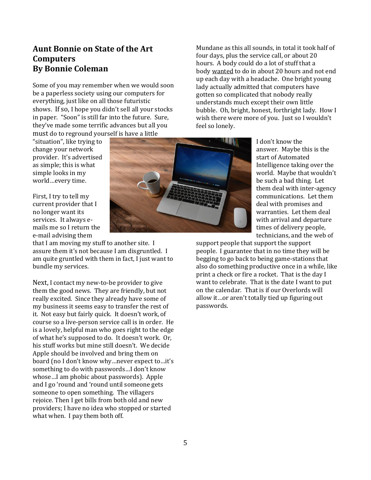### **Aunt Bonnie on State of the Art Computers By Bonnie Coleman**

Some of you may remember when we would soon be a paperless society using our computers for everything, just like on all those futuristic shows. If so, I hope you didn't sell all your stocks in paper. "Soon" is still far into the future. Sure, they've made some terrific advances but all you must do to reground yourself is have a little

"situation", like trying to change your network provider. It's advertised as simple; this is what simple looks in my world…every time.

First, I try to tell my current provider that I no longer want its services. It always emails me so I return the e-mail advising them

that I am moving my stuff to another site. I assure them it's not because I am disgruntled. I am quite gruntled with them in fact, I just want to bundle my services.

Next, I contact my new-to-be provider to give them the good news. They are friendly, but not really excited. Since they already have some of my business it seems easy to transfer the rest of it. Not easy but fairly quick. It doesn't work, of course so a live-person service call is in order. He is a lovely, helpful man who goes right to the edge of what he's supposed to do. It doesn't work. Or, his stuff works but mine still doesn't. We decide Apple should be involved and bring them on board (no I don't know why…never expect to…it's something to do with passwords…I don't know whose…I am phobic about passwords). Apple and I go 'round and 'round until someone gets someone to open something. The villagers rejoice. Then I get bills from both old and new providers; I have no idea who stopped or started what when. I pay them both off.



Mundane as this all sounds, in total it took half of four days, plus the service call, or about 20 hours. A body could do a lot of stuff that a body wanted to do in about 20 hours and not end up each day with a headache. One bright young lady actually admitted that computers have gotten so complicated that nobody really understands much except their own little bubble. Oh, bright, honest, forthright lady. How I wish there were more of you. Just so I wouldn't feel so lonely.

> I don't know the answer. Maybe this is the start of Automated Intelligence taking over the world. Maybe that wouldn't be such a bad thing. Let them deal with inter-agency communications. Let them deal with promises and warranties. Let them deal with arrival and departure times of delivery people, technicians, and the web of

support people that support the support people. I guarantee that in no time they will be begging to go back to being game-stations that also do something productive once in a while, like print a check or fire a rocket. That is the day I want to celebrate. That is the date I want to put on the calendar. That is if our Overlords will allow it…or aren't totally tied up figuring out passwords.